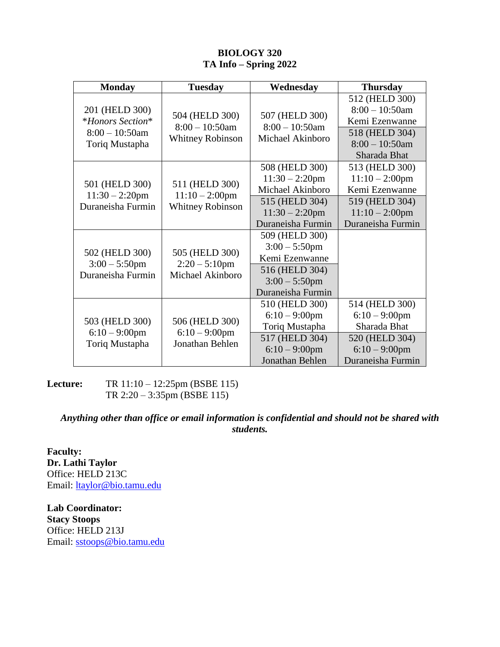## **BIOLOGY 320 TA Info – Spring 2022**

| <b>Monday</b>                                                             | <b>Tuesday</b>                                                 | Wednesday                                                                                                       | <b>Thursday</b>                                                                                             |
|---------------------------------------------------------------------------|----------------------------------------------------------------|-----------------------------------------------------------------------------------------------------------------|-------------------------------------------------------------------------------------------------------------|
| 201 (HELD 300)<br>*Honors Section*<br>$8:00 - 10:50$ am<br>Toriq Mustapha | 504 (HELD 300)<br>$8:00 - 10:50$ am<br><b>Whitney Robinson</b> | 507 (HELD 300)<br>$8:00 - 10:50$ am<br>Michael Akinboro                                                         | 512 (HELD 300)<br>$8:00 - 10:50$ am<br>Kemi Ezenwanne                                                       |
|                                                                           |                                                                |                                                                                                                 | 518 (HELD 304)<br>$8:00 - 10:50$ am<br>Sharada Bhat                                                         |
| 501 (HELD 300)<br>$11:30 - 2:20$ pm<br>Duraneisha Furmin                  | 511 (HELD 300)<br>$11:10 - 2:00$ pm<br><b>Whitney Robinson</b> | 508 (HELD 300)<br>$11:30 - 2:20$ pm<br>Michael Akinboro                                                         | 513 (HELD 300)<br>$11:10 - 2:00$ pm<br>Kemi Ezenwanne                                                       |
|                                                                           |                                                                | 515 (HELD 304)<br>$11:30 - 2:20$ pm<br>Duraneisha Furmin                                                        | 519 (HELD 304)<br>$11:10 - 2:00$ pm<br>Duraneisha Furmin                                                    |
| 502 (HELD 300)<br>$3:00 - 5:50$ pm<br>Duraneisha Furmin                   | 505 (HELD 300)<br>$2:20 - 5:10$ pm<br>Michael Akinboro         | 509 (HELD 300)<br>$3:00 - 5:50$ pm<br>Kemi Ezenwanne<br>516 (HELD 304)<br>$3:00 - 5:50$ pm<br>Duraneisha Furmin |                                                                                                             |
| 503 (HELD 300)<br>$6:10-9:00$ pm<br>Toriq Mustapha                        | 506 (HELD 300)<br>$6:10-9:00$ pm<br>Jonathan Behlen            | 510 (HELD 300)<br>$6:10-9:00$ pm<br>Toriq Mustapha<br>517 (HELD 304)<br>$6:10-9:00$ pm<br>Jonathan Behlen       | 514 (HELD 300)<br>$6:10-9:00$ pm<br>Sharada Bhat<br>520 (HELD 304)<br>$6:10 - 9:00$ pm<br>Duraneisha Furmin |

**Lecture:** TR 11:10 – 12:25pm (BSBE 115) TR 2:20 – 3:35pm (BSBE 115)

## *Anything other than office or email information is confidential and should not be shared with students.*

**Faculty: Dr. Lathi Taylor** Office: HELD 213C Email: [ltaylor@bio.tamu.edu](mailto:ltaylor@bio.tamu.edu)

**Lab Coordinator: Stacy Stoops** Office: HELD 213J Email: [sstoops@bio.tamu.edu](mailto:sstoops@mail.bio.tamu.edu)